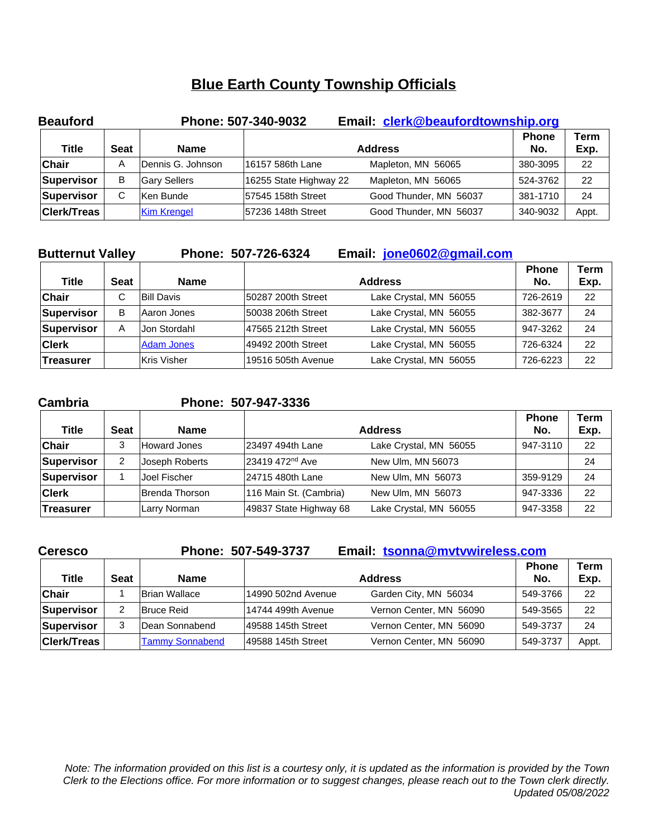| <b>Beauford</b>    |             |                    | Phone: 507-340-9032    | Email: clerk@beaufordtownship.org |                     |              |
|--------------------|-------------|--------------------|------------------------|-----------------------------------|---------------------|--------------|
| <b>Title</b>       | <b>Seat</b> | <b>Name</b>        |                        | <b>Address</b>                    | <b>Phone</b><br>No. | Term<br>Exp. |
| <b>Chair</b>       | Α           | Dennis G. Johnson  | 16157 586th Lane       | Mapleton, MN 56065                | 380-3095            | 22           |
| Supervisor         | В           | Gary Sellers       | 16255 State Highway 22 | Mapleton, MN 56065                | 524-3762            | 22           |
| Supervisor         | C           | Ken Bunde          | 57545 158th Street     | Good Thunder, MN 56037            | 381-1710            | 24           |
| <b>Clerk/Treas</b> |             | <b>Kim Krengel</b> | 57236 148th Street     | Good Thunder, MN 56037            | 340-9032            | Appt.        |

| <b>Butternut Valley</b> |             |                   | Phone: 507-726-6324 | Email: jone0602@gmail.com |                     |                     |
|-------------------------|-------------|-------------------|---------------------|---------------------------|---------------------|---------------------|
| <b>Title</b>            | <b>Seat</b> | <b>Name</b>       |                     | <b>Address</b>            | <b>Phone</b><br>No. | <b>Term</b><br>Exp. |
| <b>Chair</b>            | C           | <b>Bill Davis</b> | 50287 200th Street  | Lake Crystal, MN 56055    | 726-2619            | 22                  |
| Supervisor              | B           | Aaron Jones       | 50038 206th Street  | Lake Crystal, MN 56055    | 382-3677            | 24                  |
| Supervisor              | A           | Jon Stordahl      | 47565 212th Street  | Lake Crystal, MN 56055    | 947-3262            | 24                  |
| <b>Clerk</b>            |             | <b>Adam Jones</b> | 49492 200th Street  | Lake Crystal, MN 56055    | 726-6324            | 22                  |
| ∣Treasurer              |             | Kris Visher       | 19516 505th Avenue  | Lake Crystal, MN 56055    | 726-6223            | 22                  |

**Cambria Phone: 507-947-3336**

| Title            | <b>Seat</b> | <b>Name</b>    |                             | <b>Address</b>         | <b>Phone</b><br>No. | Term<br>Exp. |
|------------------|-------------|----------------|-----------------------------|------------------------|---------------------|--------------|
| Chair            | 3           | Howard Jones   | 23497 494th Lane            | Lake Crystal, MN 56055 | 947-3110            | 22           |
| Supervisor       | 2           | Joseph Roberts | 23419 472 <sup>nd</sup> Ave | New Ulm, MN 56073      |                     | 24           |
| Supervisor       |             | Joel Fischer   | 24715 480th Lane            | New Ulm, MN 56073      | 359-9129            | 24           |
| <b>Clerk</b>     |             | Brenda Thorson | 116 Main St. (Cambria)      | New Ulm, MN 56073      | 947-3336            | 22           |
| <b>Treasurer</b> |             | Larry Norman   | 49837 State Highway 68      | Lake Crystal, MN 56055 | 947-3358            | 22           |

| <b>Ceresco</b>     |             |                        | Phone: 507-549-3737 | Email: tsonna@mvtvwireless.com |                     |              |
|--------------------|-------------|------------------------|---------------------|--------------------------------|---------------------|--------------|
| Title              | <b>Seat</b> | <b>Name</b>            |                     | <b>Address</b>                 | <b>Phone</b><br>No. | Term<br>Exp. |
| <b>Chair</b>       |             | <b>Brian Wallace</b>   | 14990 502nd Avenue  | Garden City, MN 56034          | 549-3766            | 22           |
| Supervisor         | 2           | Bruce Reid             | 14744 499th Avenue  | Vernon Center, MN 56090        | 549-3565            | 22           |
| Supervisor         | 3           | Dean Sonnabend         | 49588 145th Street  | Vernon Center, MN 56090        | 549-3737            | 24           |
| <b>Clerk/Treas</b> |             | <b>Tammy Sonnabend</b> | 49588 145th Street  | Vernon Center, MN 56090        | 549-3737            | Appt.        |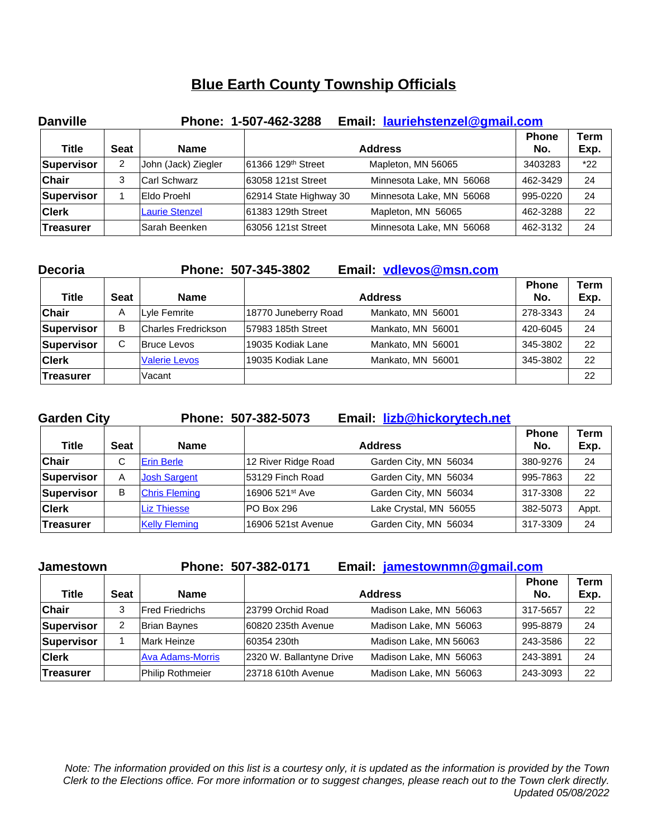| <b>Danville</b> |             |                       | Phone: 1-507-462-3288          | Email: lauriehstenzel@gmail.com |                     |              |
|-----------------|-------------|-----------------------|--------------------------------|---------------------------------|---------------------|--------------|
| Title           | <b>Seat</b> | Name                  |                                | <b>Address</b>                  | <b>Phone</b><br>No. | Term<br>Exp. |
| Supervisor      | 2           | John (Jack) Ziegler   | 61366 129 <sup>th</sup> Street | Mapleton, MN 56065              | 3403283             | $*22$        |
| <b>Chair</b>    | 3           | Carl Schwarz          | 63058 121st Street             | Minnesota Lake, MN 56068        | 462-3429            | 24           |
| Supervisor      |             | Eldo Proehl           | 62914 State Highway 30         | Minnesota Lake, MN 56068        | 995-0220            | 24           |
| <b>Clerk</b>    |             | <b>Laurie Stenzel</b> | 61383 129th Street             | Mapleton, MN 56065              | 462-3288            | 22           |
| ∣Treasurer      |             | lSarah Beenken        | 63056 121st Street             | Minnesota Lake, MN 56068        | 462-3132            | 24           |

| <b>Decoria</b> |             |                      | Phone: 507-345-3802  | Email: vdlevos@msn.com |                     |              |
|----------------|-------------|----------------------|----------------------|------------------------|---------------------|--------------|
| <b>Title</b>   | <b>Seat</b> | <b>Name</b>          |                      | <b>Address</b>         | <b>Phone</b><br>No. | Term<br>Exp. |
| <b>Chair</b>   | A           | Lyle Femrite         | 18770 Juneberry Road | Mankato, MN 56001      | 278-3343            | 24           |
| Supervisor     | B           | Charles Fredrickson  | 57983 185th Street   | Mankato, MN 56001      | 420-6045            | 24           |
| Supervisor     | C           | Bruce Levos          | 19035 Kodiak Lane    | Mankato, MN 56001      | 345-3802            | 22           |
| <b>Clerk</b>   |             | <b>Valerie Levos</b> | 19035 Kodiak Lane    | Mankato, MN 56001      | 345-3802            | 22           |
| ∣Treasurer     |             | Vacant               |                      |                        |                     | 22           |

| <b>Garden City</b> |             |                      | Phone: 507-382-5073         | Email: lizb@hickorytech.net |                     |              |
|--------------------|-------------|----------------------|-----------------------------|-----------------------------|---------------------|--------------|
| <b>Title</b>       | <b>Seat</b> | <b>Name</b>          |                             | <b>Address</b>              | <b>Phone</b><br>No. | Term<br>Exp. |
| <b>Chair</b>       | C           | <b>Erin Berle</b>    | 12 River Ridge Road         | Garden City, MN 56034       | 380-9276            | 24           |
| Supervisor         | A           | <b>Josh Sargent</b>  | 53129 Finch Road            | Garden City, MN 56034       | 995-7863            | 22           |
| Supervisor         | B           | <b>Chris Fleming</b> | 16906 521 <sup>st</sup> Ave | Garden City, MN 56034       | 317-3308            | 22           |
| <b>Clerk</b>       |             | <b>Liz Thiesse</b>   | PO Box 296                  | Lake Crystal, MN 56055      | 382-5073            | Appt.        |
| <b>Treasurer</b>   |             | <b>Kelly Fleming</b> | 16906 521st Avenue          | Garden City, MN 56034       | 317-3309            | 24           |

| <b>Jamestown</b> |             |                         | Email: jamestownmn@gmail.com<br>Phone: 507-382-0171 |                        |                     |                     |  |
|------------------|-------------|-------------------------|-----------------------------------------------------|------------------------|---------------------|---------------------|--|
| Title            | <b>Seat</b> | Name                    |                                                     | <b>Address</b>         | <b>Phone</b><br>No. | <b>Term</b><br>Exp. |  |
| <b>Chair</b>     | 3           | <b>IFred Friedrichs</b> | 23799 Orchid Road                                   | Madison Lake, MN 56063 | 317-5657            | 22                  |  |
| Supervisor       | 2           | Brian Baynes            | 60820 235th Avenue                                  | Madison Lake, MN 56063 | 995-8879            | 24                  |  |
| Supervisor       |             | Mark Heinze             | 60354 230th                                         | Madison Lake, MN 56063 | 243-3586            | 22                  |  |
| <b>Clerk</b>     |             | <b>Ava Adams-Morris</b> | 2320 W. Ballantyne Drive                            | Madison Lake, MN 56063 | 243-3891            | 24                  |  |
| Treasurer        |             | Philip Rothmeier        | 23718 610th Avenue                                  | Madison Lake, MN 56063 | 243-3093            | 22                  |  |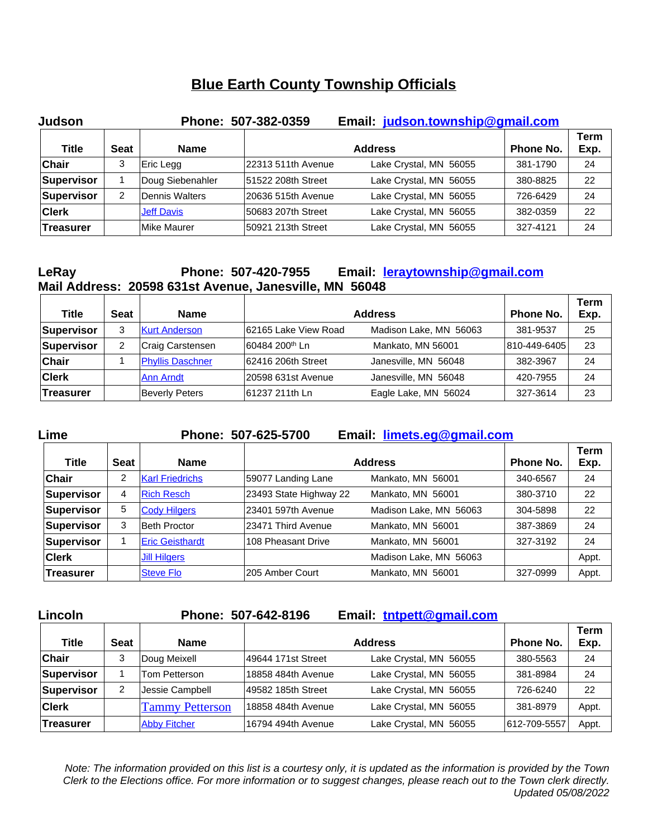| <b>Judson</b>    |             |                   | Phone: 507-382-0359 | Email: judson.township@gmail.com |                  |              |
|------------------|-------------|-------------------|---------------------|----------------------------------|------------------|--------------|
| <b>Title</b>     | <b>Seat</b> | <b>Name</b>       |                     | <b>Address</b>                   | <b>Phone No.</b> | Term<br>Exp. |
| <b>Chair</b>     | 3           | Eric Legg         | 22313 511th Avenue  | Lake Crystal, MN 56055           | 381-1790         | 24           |
| Supervisor       |             | Doug Siebenahler  | 51522 208th Street  | Lake Crystal, MN 56055           | 380-8825         | 22           |
| Supervisor       | 2           | Dennis Walters    | 20636 515th Avenue  | Lake Crystal, MN 56055           | 726-6429         | 24           |
| <b>Clerk</b>     |             | <b>Jeff Davis</b> | 50683 207th Street  | Lake Crystal, MN 56055           | 382-0359         | 22           |
| <b>Treasurer</b> |             | Mike Maurer       | 50921 213th Street  | Lake Crystal, MN 56055           | 327-4121         | 24           |

## **LeRay Phone: 507-420-7955 Email: [leraytownship@gmail.com](mailto:leraytownship@gmail.com) Mail Address: 20598 631st Avenue, Janesville, MN 56048**

| Title        | <b>Seat</b> | <b>Name</b>             |                            | <b>Address</b>         | <b>Phone No.</b> | Term<br>Exp. |
|--------------|-------------|-------------------------|----------------------------|------------------------|------------------|--------------|
| Supervisor   | 3           | <b>Kurt Anderson</b>    | 62165 Lake View Road       | Madison Lake, MN 56063 | 381-9537         | 25           |
| Supervisor   | 2           | Craig Carstensen        | 60484 200 <sup>th</sup> Ln | Mankato, MN 56001      | 810-449-6405     | 23           |
| Chair        |             | <b>Phyllis Daschner</b> | 62416 206th Street         | Janesville, MN 56048   | 382-3967         | 24           |
| <b>Clerk</b> |             | <b>Ann Arndt</b>        | 20598 631st Avenue         | Janesville, MN 56048   | 420-7955         | 24           |
| ∣Treasurer   |             | Beverly Peters          | 61237 211th Ln             | Eagle Lake, MN 56024   | 327-3614         | 23           |

## **Lime Phone: 507-625-5700 Email: [limets.eg@gmail.com](mailto:limets.eg@gmail.com) Title Seat Name Address Phone No. Term Exp. Chair** 2 <u>[Karl Friedrichs](mailto:limets.kof@gmail.com)</u> 59077 Landing Lane Mankato, MN 56001 340-6567 24 **Supervisor**  $\begin{array}{c|c|c|c|c} \n4 & \text{Rich Resch} & \text{23493 State Highway 22} \\
& & \text{Mankato, MN} & 56001 & 380-3710 & 22\n\end{array}$  $\begin{array}{c|c|c|c|c} \n4 & \text{Rich Resch} & \text{23493 State Highway 22} \\
& & \text{Mankato, MN} & 56001 & 380-3710 & 22\n\end{array}$  $\begin{array}{c|c|c|c|c} \n4 & \text{Rich Resch} & \text{23493 State Highway 22} \\
& & \text{Mankato, MN} & 56001 & 380-3710 & 22\n\end{array}$ **Supervisor** | 5 [Cody Hilgers](mailto:limets.cjh@gmail.com) | [23401 597th Avenue](mailto:limets.cjh@gmail.com) [Madison Lake, MN 56063](mailto:limets.cjh@gmail.com) | [304-5898](mailto:limets.cjh@gmail.com) | [22](mailto:limets.cjh@gmail.com) **[Supervisor](mailto:limets.cjh@gmail.com)** [3](mailto:limets.cjh@gmail.com) [Beth Proctor](mailto:limets.cjh@gmail.com) [23471 Third Avenue](mailto:limets.cjh@gmail.com) [Mankato, MN 56001](mailto:limets.cjh@gmail.com) [387-3869](mailto:limets.cjh@gmail.com) [24](mailto:limets.cjh@gmail.com) **[Supervisor](mailto:limets.cjh@gmail.com)** [1](mailto:limets.cjh@gmail.com) [Eric Geisthardt](mailto:limets.nv@gmail.com) 108 Pheasant Drive Mankato, MN 56001 327-3192 24 **Clerk [Jill Hilgers](mailto:limets.clerk@gmail.com) Access Access Madison Lake, MN 56063 Appt. Treasurer** [Steve Flo](mailto:limets.ar@gmail.com) 5000 Steve Flo 205 Amber Court Mankato, MN 56001 327-0999 Appt.

| Lincoln      |             |                        | Phone: 507-642-8196 | Email: tntpett@gmail.com |              |              |
|--------------|-------------|------------------------|---------------------|--------------------------|--------------|--------------|
| <b>Title</b> | <b>Seat</b> | <b>Name</b>            |                     | <b>Address</b>           | Phone No.    | Term<br>Exp. |
| <b>Chair</b> | 3           | Doug Meixell           | 49644 171st Street  | Lake Crystal, MN 56055   | 380-5563     | 24           |
| Supervisor   |             | Tom Petterson          | 18858 484th Avenue  | Lake Crystal, MN 56055   | 381-8984     | 24           |
| Supervisor   | 2           | Jessie Campbell        | 49582 185th Street  | Lake Crystal, MN 56055   | 726-6240     | 22           |
| <b>Clerk</b> |             | <b>Tammy Petterson</b> | 18858 484th Avenue  | Lake Crystal, MN 56055   | 381-8979     | Appt.        |
| Treasurer    |             | <b>Abby Fitcher</b>    | 16794 494th Avenue  | Lake Crystal, MN 56055   | 612-709-5557 | Appt.        |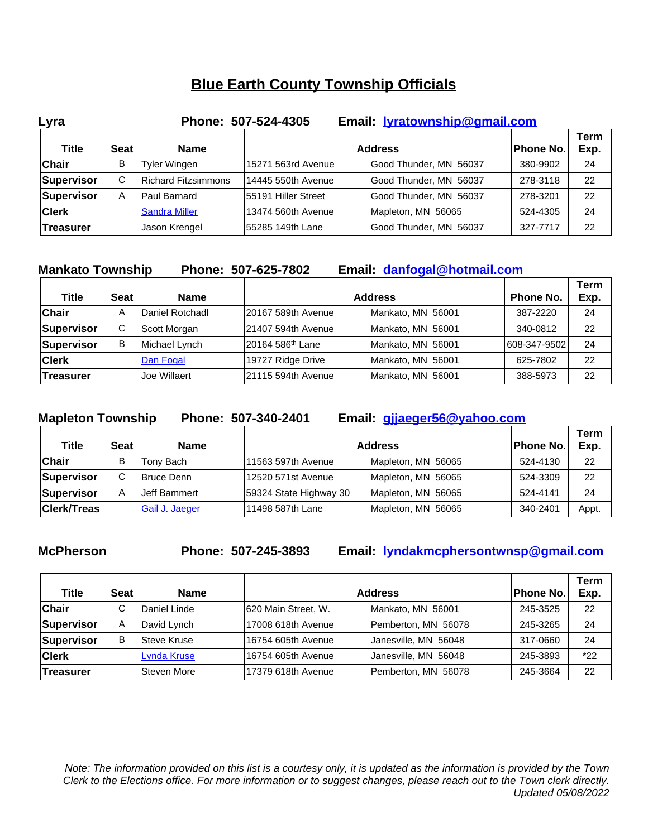| Lyra         |             |                            | Email: <b>lyratownship@gmail.com</b><br>Phone: 507-524-4305 |                        |                  |                     |
|--------------|-------------|----------------------------|-------------------------------------------------------------|------------------------|------------------|---------------------|
| <b>Title</b> | <b>Seat</b> | Name                       |                                                             | <b>Address</b>         | <b>Phone No.</b> | <b>Term</b><br>Exp. |
| <b>Chair</b> | в           | Tyler Wingen               | 15271 563rd Avenue                                          | Good Thunder, MN 56037 | 380-9902         | 24                  |
| Supervisor   | C           | <b>Richard Fitzsimmons</b> | 14445 550th Avenue                                          | Good Thunder, MN 56037 | 278-3118         | 22                  |
| Supervisor   | A           | <b>Paul Barnard</b>        | 55191 Hiller Street                                         | Good Thunder, MN 56037 | 278-3201         | 22                  |
| <b>Clerk</b> |             | <b>Sandra Miller</b>       | 13474 560th Avenue                                          | Mapleton, MN 56065     | 524-4305         | 24                  |
| ∣Treasurer   |             | Jason Krengel              | 55285 149th Lane                                            | Good Thunder, MN 56037 | 327-7717         | 22                  |

| <b>Mankato Township</b> |             |                 | Email: danfogal@hotmail.com<br>Phone: 507-625-7802 |                   |  |              |                     |
|-------------------------|-------------|-----------------|----------------------------------------------------|-------------------|--|--------------|---------------------|
| <b>Title</b>            | <b>Seat</b> | <b>Name</b>     |                                                    | <b>Address</b>    |  | Phone No.    | <b>Term</b><br>Exp. |
| <b>Chair</b>            | A           | Daniel Rotchadl | 20167 589th Avenue                                 | Mankato, MN 56001 |  | 387-2220     | 24                  |
| Supervisor              | C           | Scott Morgan    | 21407 594th Avenue                                 | Mankato, MN 56001 |  | 340-0812     | 22                  |
| Supervisor              | В           | Michael Lynch   | 20164 586 <sup>th</sup> Lane                       | Mankato, MN 56001 |  | 608-347-9502 | 24                  |
| <b>Clerk</b>            |             | Dan Fogal       | 19727 Ridge Drive                                  | Mankato, MN 56001 |  | 625-7802     | 22                  |
| <b>Treasurer</b>        |             | Joe Willaert    | 21115 594th Avenue                                 | Mankato, MN 56001 |  | 388-5973     | 22                  |

**[Mapleton Township](mailto:danfogal@hotmail.com) [Phone: 507-340-2401](mailto:danfogal@hotmail.com) [Email:](mailto:danfogal@hotmail.com) [gjjaeger56@yahoo.com](mailto:gjjaeger56@yahoo.com)**

| <b>Title</b>       | <b>Seat</b> | <b>Name</b>       |                        | <b>Address</b>     | Phone No. | <b>Term</b><br>Exp. |
|--------------------|-------------|-------------------|------------------------|--------------------|-----------|---------------------|
| Chair              | В           | Tony Bach         | 11563 597th Avenue     | Mapleton, MN 56065 | 524-4130  | 22                  |
| Supervisor         | С           | <b>Bruce Denn</b> | l12520 571st Avenue    | Mapleton, MN 56065 | 524-3309  | 22                  |
| Supervisor         | A           | Jeff Bammert      | 59324 State Highway 30 | Mapleton, MN 56065 | 524-4141  | 24                  |
| <b>Clerk/Treas</b> |             | Gail J. Jaeger    | 111498 587th Lane      | Mapleton, MN 56065 | 340-2401  | Appt.               |

**McPherson Phone: 507-245-3893 Email: [lyndakmcphersontwnsp@gmail.com](mailto:lyndakmcphersontwnsp@gmail.com)**

| Title            | <b>Seat</b> | <b>Name</b>        |                     | <b>Address</b>       | Phone No. | Term<br>Exp. |
|------------------|-------------|--------------------|---------------------|----------------------|-----------|--------------|
| <b>Chair</b>     | ◡           | Daniel Linde       | 620 Main Street, W. | Mankato, MN 56001    | 245-3525  | 22           |
| Supervisor       | A           | David Lynch        | 17008 618th Avenue  | Pemberton, MN 56078  | 245-3265  | 24           |
| Supervisor       | B           | <b>Steve Kruse</b> | 16754 605th Avenue  | Janesville, MN 56048 | 317-0660  | 24           |
| <b>Clerk</b>     |             | Lynda Kruse        | 16754 605th Avenue  | Janesville, MN 56048 | 245-3893  | $*22$        |
| <b>Treasurer</b> |             | Steven More        | 17379 618th Avenue  | Pemberton, MN 56078  | 245-3664  | 22           |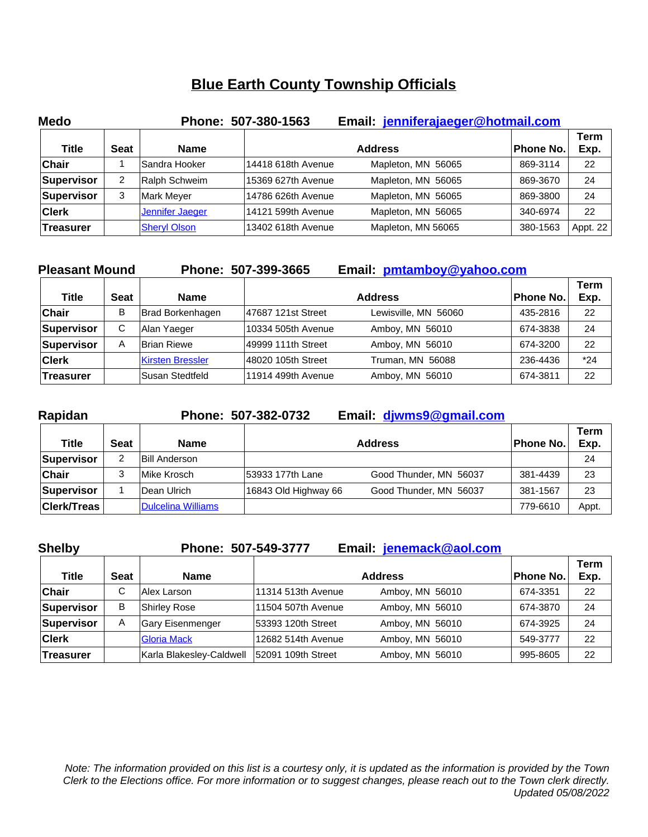| <b>Medo</b>  |             |                        | Phone: 507-380-1563 | Email: jenniferajaeger@hotmail.com |           |              |
|--------------|-------------|------------------------|---------------------|------------------------------------|-----------|--------------|
| <b>Title</b> | <b>Seat</b> | <b>Name</b>            |                     | <b>Address</b>                     | Phone No. | Term<br>Exp. |
| <b>Chair</b> |             | Sandra Hooker          | 14418 618th Avenue  | Mapleton, MN 56065                 | 869-3114  | 22           |
| Supervisor   | 2           | Ralph Schweim          | 15369 627th Avenue  | Mapleton, MN 56065                 | 869-3670  | 24           |
| Supervisor   | 3           | Mark Meyer             | 14786 626th Avenue  | Mapleton, MN 56065                 | 869-3800  | 24           |
| <b>Clerk</b> |             | <b>Jennifer Jaeger</b> | 14121 599th Avenue  | Mapleton, MN 56065                 | 340-6974  | 22           |
| Treasurer    |             | <b>Sheryl Olson</b>    | 13402 618th Avenue  | Mapleton, MN 56065                 | 380-1563  | Appt. 22     |

| <b>Pleasant Mound</b> |             |                         | Phone: 507-399-3665 | Email: pmtamboy@yahoo.com |           |                     |
|-----------------------|-------------|-------------------------|---------------------|---------------------------|-----------|---------------------|
| <b>Title</b>          | <b>Seat</b> | <b>Name</b>             |                     | <b>Address</b>            | Phone No. | <b>Term</b><br>Exp. |
| <b>Chair</b>          | B           | Brad Borkenhagen        | 47687 121st Street  | Lewisville, MN 56060      | 435-2816  | 22                  |
| Supervisor            | C           | Alan Yaeger             | 10334 505th Avenue  | Amboy, MN 56010           | 674-3838  | 24                  |
| Supervisor            | A           | Brian Riewe             | 49999 111th Street  | Amboy, MN 56010           | 674-3200  | 22                  |
| <b>Clerk</b>          |             | <b>Kirsten Bressler</b> | 48020 105th Street  | Truman, MN 56088          | 236-4436  | $*24$               |
| Treasurer             |             | Susan Stedtfeld         | 11914 499th Avenue  | Amboy, MN 56010           | 674-3811  | 22                  |

| Rapidan            |             |                           | Phone: 507-382-0732  | Email: diwms9@gmail.com |           |                     |
|--------------------|-------------|---------------------------|----------------------|-------------------------|-----------|---------------------|
| <b>Title</b>       | <b>Seat</b> | <b>Name</b>               |                      | <b>Address</b>          | Phone No. | <b>Term</b><br>Exp. |
| Supervisor         | 2           | <b>Bill Anderson</b>      |                      |                         |           | 24                  |
| <b>Chair</b>       | 3           | Mike Krosch               | 53933 177th Lane     | Good Thunder, MN 56037  | 381-4439  | 23                  |
| Supervisor         |             | Dean Ulrich               | 16843 Old Highway 66 | Good Thunder, MN 56037  | 381-1567  | 23                  |
| <b>Clerk/Treas</b> |             | <b>Dulcelina Williams</b> |                      |                         | 779-6610  | Appt.               |

| <b>Shelby</b>    |             | Phone: 507-549-3777      |                    | Email: jenemack@aol.com |           |              |
|------------------|-------------|--------------------------|--------------------|-------------------------|-----------|--------------|
| <b>Title</b>     | <b>Seat</b> | <b>Name</b>              |                    | <b>Address</b>          | Phone No. | Term<br>Exp. |
| <b>Chair</b>     | C           | Alex Larson              | 11314 513th Avenue | Amboy, MN 56010         | 674-3351  | 22           |
| Supervisor       | B           | Shirley Rose             | 11504 507th Avenue | Amboy, MN 56010         | 674-3870  | 24           |
| Supervisor       | A           | <b>Gary Eisenmenger</b>  | 53393 120th Street | Amboy, MN 56010         | 674-3925  | 24           |
| <b>Clerk</b>     |             | <b>Gloria Mack</b>       | 12682 514th Avenue | Amboy, MN 56010         | 549-3777  | 22           |
| <b>Treasurer</b> |             | Karla Blakesley-Caldwell | 52091 109th Street | Amboy, MN 56010         | 995-8605  | 22           |